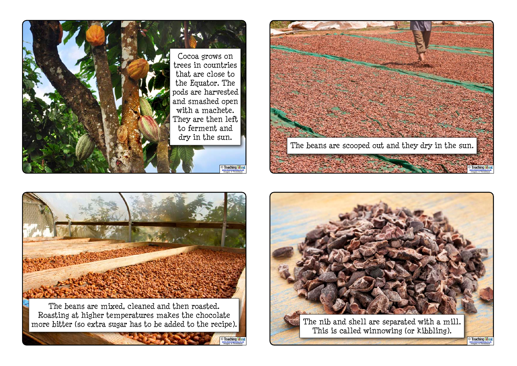





The beans are mixed, cleaned and then roasted. Roasting at higher temperatures makes the chocolate more bitter (so extra sugar has to be added to the recipe).

> www.teachingideas.co.uk Images: © ThinkStock **Teaching**

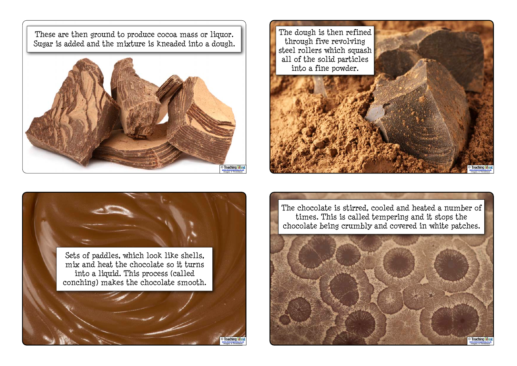These are then ground to produce cocoa mass or liquor. Sugar is added and the mixture is kneaded into a dough.







The chocolate is stirred, cooled and heated a number of times. This is called tempering and it stops the chocolate being crumbly and covered in white patches.